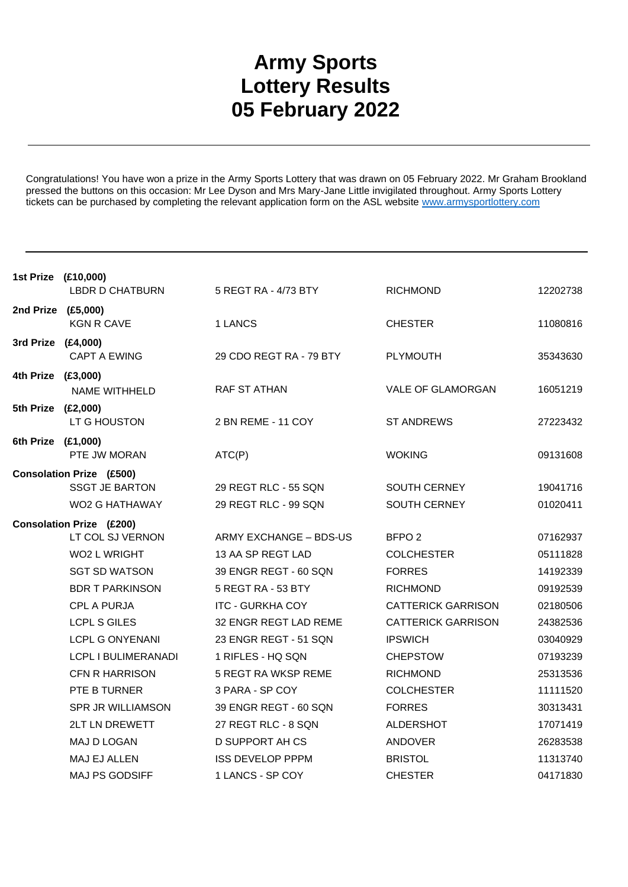## **Army Sports Lottery Results 05 February 2022**

Congratulations! You have won a prize in the Army Sports Lottery that was drawn on 05 February 2022. Mr Graham Brookland pressed the buttons on this occasion: Mr Lee Dyson and Mrs Mary-Jane Little invigilated throughout. Army Sports Lottery tickets can be purchased by completing the relevant application form on the ASL website www.armysportlottery.com

| 1st Prize (£10,000) | <b>LBDR D CHATBURN</b>          | 5 REGT RA - 4/73 BTY    | <b>RICHMOND</b>           | 12202738 |
|---------------------|---------------------------------|-------------------------|---------------------------|----------|
| 2nd Prize (£5,000)  | <b>KGN R CAVE</b>               | 1 LANCS                 | <b>CHESTER</b>            | 11080816 |
| 3rd Prize (£4,000)  |                                 |                         |                           |          |
|                     | <b>CAPT A EWING</b>             | 29 CDO REGT RA - 79 BTY | <b>PLYMOUTH</b>           | 35343630 |
| 4th Prize (£3,000)  |                                 |                         |                           |          |
|                     | <b>NAME WITHHELD</b>            | RAF ST ATHAN            | VALE OF GLAMORGAN         | 16051219 |
| 5th Prize (£2,000)  |                                 |                         |                           |          |
|                     | LT G HOUSTON                    | 2 BN REME - 11 COY      | <b>ST ANDREWS</b>         | 27223432 |
| 6th Prize (£1,000)  |                                 |                         |                           |          |
|                     | PTE JW MORAN                    | ATC(P)                  | <b>WOKING</b>             | 09131608 |
|                     | <b>Consolation Prize (£500)</b> |                         |                           |          |
|                     | <b>SSGT JE BARTON</b>           | 29 REGT RLC - 55 SQN    | SOUTH CERNEY              | 19041716 |
|                     | WO2 G HATHAWAY                  | 29 REGT RLC - 99 SQN    | SOUTH CERNEY              | 01020411 |
|                     | <b>Consolation Prize (£200)</b> |                         |                           |          |
|                     | LT COL SJ VERNON                | ARMY EXCHANGE - BDS-US  | BFPO <sub>2</sub>         | 07162937 |
|                     | <b>WO2 L WRIGHT</b>             | 13 AA SP REGT LAD       | <b>COLCHESTER</b>         | 05111828 |
|                     | <b>SGT SD WATSON</b>            | 39 ENGR REGT - 60 SQN   | <b>FORRES</b>             | 14192339 |
|                     | <b>BDR T PARKINSON</b>          | 5 REGT RA - 53 BTY      | <b>RICHMOND</b>           | 09192539 |
|                     | <b>CPL A PURJA</b>              | <b>ITC - GURKHA COY</b> | <b>CATTERICK GARRISON</b> | 02180506 |
|                     | <b>LCPL S GILES</b>             | 32 ENGR REGT LAD REME   | <b>CATTERICK GARRISON</b> | 24382536 |
|                     | <b>LCPL G ONYENANI</b>          | 23 ENGR REGT - 51 SQN   | <b>IPSWICH</b>            | 03040929 |
|                     | LCPL I BULIMERANADI             | 1 RIFLES - HQ SQN       | <b>CHEPSTOW</b>           | 07193239 |
|                     | <b>CFN R HARRISON</b>           | 5 REGT RA WKSP REME     | <b>RICHMOND</b>           | 25313536 |
|                     | PTE B TURNER                    | 3 PARA - SP COY         | <b>COLCHESTER</b>         | 11111520 |
|                     | <b>SPR JR WILLIAMSON</b>        | 39 ENGR REGT - 60 SQN   | <b>FORRES</b>             | 30313431 |
|                     | <b>2LT LN DREWETT</b>           | 27 REGT RLC - 8 SQN     | <b>ALDERSHOT</b>          | 17071419 |
|                     | <b>MAJ D LOGAN</b>              | <b>D SUPPORT AH CS</b>  | <b>ANDOVER</b>            | 26283538 |
|                     | MAJ EJ ALLEN                    | <b>ISS DEVELOP PPPM</b> | <b>BRISTOL</b>            | 11313740 |
|                     | MAJ PS GODSIFF                  | 1 LANCS - SP COY        | <b>CHESTER</b>            | 04171830 |